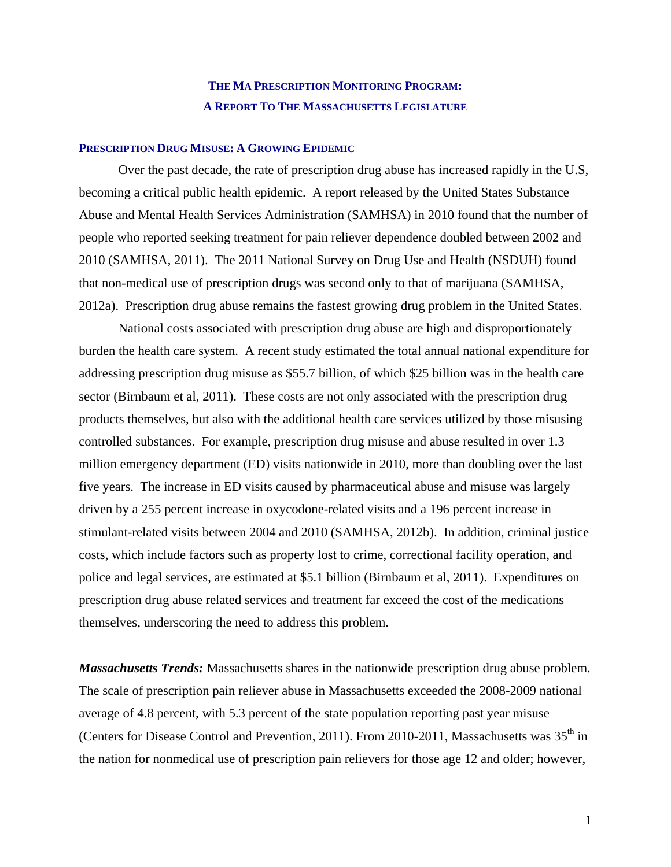## **THE MA PRESCRIPTION MONITORING PROGRAM: A REPORT TO THE MASSACHUSETTS LEGISLATURE**

## **PRESCRIPTION DRUG MISUSE: A GROWING EPIDEMIC**

Over the past decade, the rate of prescription drug abuse has increased rapidly in the U.S, becoming a critical public health epidemic. A report released by the United States Substance Abuse and Mental Health Services Administration (SAMHSA) in 2010 found that the number of people who reported seeking treatment for pain reliever dependence doubled between 2002 and 2010 (SAMHSA, 2011). The 2011 National Survey on Drug Use and Health (NSDUH) found that non-medical use of prescription drugs was second only to that of marijuana (SAMHSA, 2012a). Prescription drug abuse remains the fastest growing drug problem in the United States.

 National costs associated with prescription drug abuse are high and disproportionately burden the health care system. A recent study estimated the total annual national expenditure for addressing prescription drug misuse as \$55.7 billion, of which \$25 billion was in the health care sector (Birnbaum et al, 2011). These costs are not only associated with the prescription drug products themselves, but also with the additional health care services utilized by those misusing controlled substances. For example, prescription drug misuse and abuse resulted in over 1.3 million emergency department (ED) visits nationwide in 2010, more than doubling over the last five years. The increase in ED visits caused by pharmaceutical abuse and misuse was largely driven by a 255 percent increase in oxycodone-related visits and a 196 percent increase in stimulant-related visits between 2004 and 2010 (SAMHSA, 2012b). In addition, criminal justice costs, which include factors such as property lost to crime, correctional facility operation, and police and legal services, are estimated at \$5.1 billion (Birnbaum et al, 2011). Expenditures on prescription drug abuse related services and treatment far exceed the cost of the medications themselves, underscoring the need to address this problem.

*Massachusetts Trends:* Massachusetts shares in the nationwide prescription drug abuse problem. The scale of prescription pain reliever abuse in Massachusetts exceeded the 2008-2009 national average of 4.8 percent, with 5.3 percent of the state population reporting past year misuse (Centers for Disease Control and Prevention, 2011). From 2010-2011, Massachusetts was  $35<sup>th</sup>$  in the nation for nonmedical use of prescription pain relievers for those age 12 and older; however,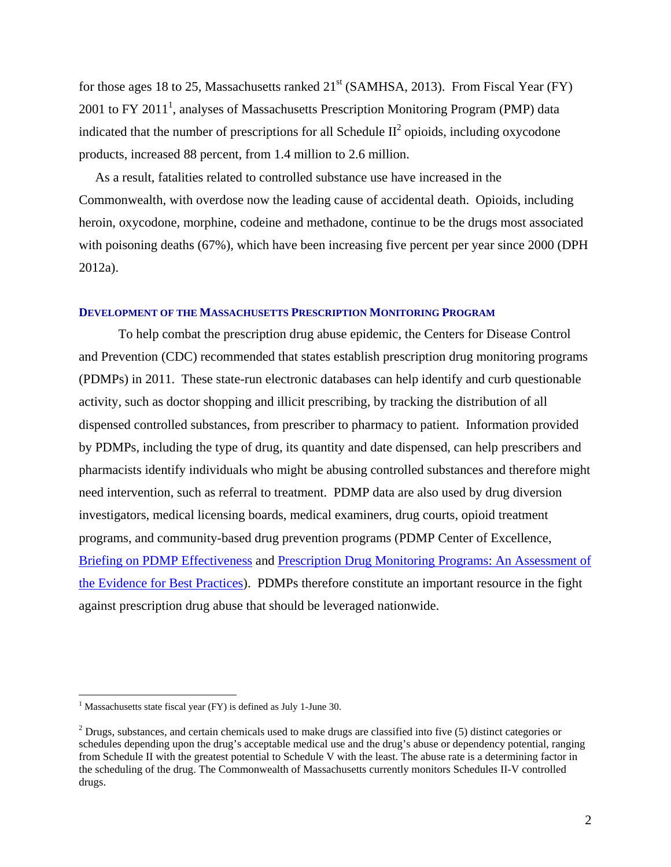for those ages 18 to 25, Massachusetts ranked  $21<sup>st</sup>$  (SAMHSA, 2013). From Fiscal Year (FY) 2001 to FY 2011<sup>1</sup>, analyses of Massachusetts Prescription Monitoring Program (PMP) data indicated that the number of prescriptions for all Schedule  $II^2$  opioids, including oxycodone products, increased 88 percent, from 1.4 million to 2.6 million.

 As a result, fatalities related to controlled substance use have increased in the Commonwealth, with overdose now the leading cause of accidental death. Opioids, including heroin, oxycodone, morphine, codeine and methadone, continue to be the drugs most associated with poisoning deaths (67%), which have been increasing five percent per year since 2000 (DPH 2012a).

#### **DEVELOPMENT OF THE MASSACHUSETTS PRESCRIPTION MONITORING PROGRAM**

 To help combat the prescription drug abuse epidemic, the Centers for Disease Control and Prevention (CDC) recommended that states establish prescription drug monitoring programs (PDMPs) in 2011. These state-run electronic databases can help identify and curb questionable activity, such as doctor shopping and illicit prescribing, by tracking the distribution of all dispensed controlled substances, from prescriber to pharmacy to patient. Information provided by PDMPs, including the type of drug, its quantity and date dispensed, can help prescribers and pharmacists identify individuals who might be abusing controlled substances and therefore might need intervention, such as referral to treatment. PDMP data are also used by drug diversion investigators, medical licensing boards, medical examiners, drug courts, opioid treatment programs, and community-based drug prevention programs (PDMP Center of Excellence, Briefing on PDMP Effectiveness and Prescription Drug Monitoring Programs: An Assessment of the Evidence for Best Practices). PDMPs therefore constitute an important resource in the fight against prescription drug abuse that should be leveraged nationwide.

 $\overline{a}$ 

 $1$  Massachusetts state fiscal year (FY) is defined as July 1-June 30.

 $2^2$  Drugs, substances, and certain chemicals used to make drugs are classified into five (5) distinct categories or schedules depending upon the drug's acceptable medical use and the drug's abuse or dependency potential, ranging from Schedule II with the greatest potential to Schedule V with the least. The abuse rate is a determining factor in the scheduling of the drug. The Commonwealth of Massachusetts currently monitors Schedules II-V controlled drugs.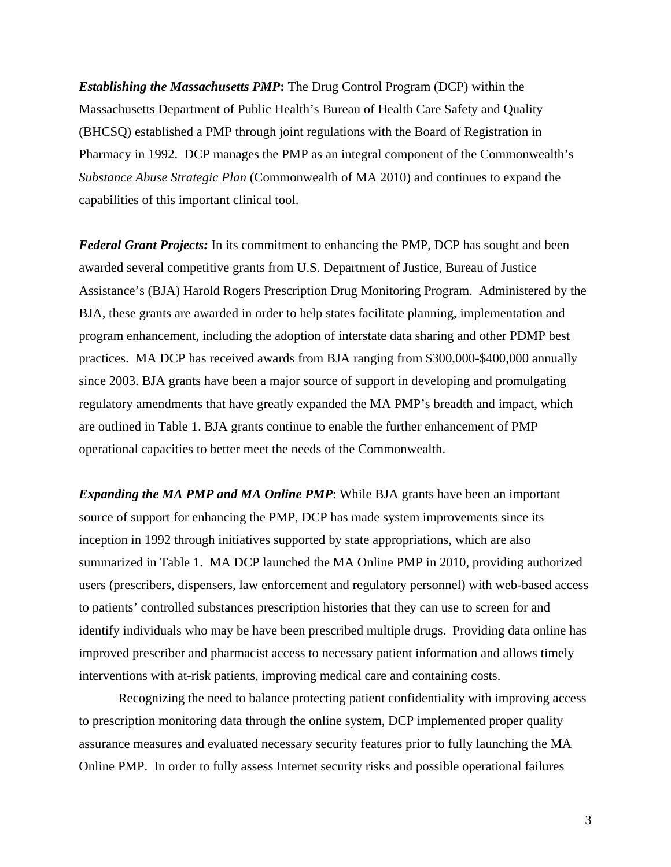*Establishing the Massachusetts PMP***:** The Drug Control Program (DCP) within the Massachusetts Department of Public Health's Bureau of Health Care Safety and Quality (BHCSQ) established a PMP through joint regulations with the Board of Registration in Pharmacy in 1992. DCP manages the PMP as an integral component of the Commonwealth's *Substance Abuse Strategic Plan* (Commonwealth of MA 2010) and continues to expand the capabilities of this important clinical tool.

*Federal Grant Projects:* In its commitment to enhancing the PMP, DCP has sought and been awarded several competitive grants from U.S. Department of Justice, Bureau of Justice Assistance's (BJA) Harold Rogers Prescription Drug Monitoring Program. Administered by the BJA, these grants are awarded in order to help states facilitate planning, implementation and program enhancement, including the adoption of interstate data sharing and other PDMP best practices. MA DCP has received awards from BJA ranging from \$300,000-\$400,000 annually since 2003. BJA grants have been a major source of support in developing and promulgating regulatory amendments that have greatly expanded the MA PMP's breadth and impact, which are outlined in Table 1. BJA grants continue to enable the further enhancement of PMP operational capacities to better meet the needs of the Commonwealth.

*Expanding the MA PMP and MA Online PMP*: While BJA grants have been an important source of support for enhancing the PMP, DCP has made system improvements since its inception in 1992 through initiatives supported by state appropriations, which are also summarized in Table 1. MA DCP launched the MA Online PMP in 2010, providing authorized users (prescribers, dispensers, law enforcement and regulatory personnel) with web-based access to patients' controlled substances prescription histories that they can use to screen for and identify individuals who may be have been prescribed multiple drugs. Providing data online has improved prescriber and pharmacist access to necessary patient information and allows timely interventions with at-risk patients, improving medical care and containing costs.

 Recognizing the need to balance protecting patient confidentiality with improving access to prescription monitoring data through the online system, DCP implemented proper quality assurance measures and evaluated necessary security features prior to fully launching the MA Online PMP. In order to fully assess Internet security risks and possible operational failures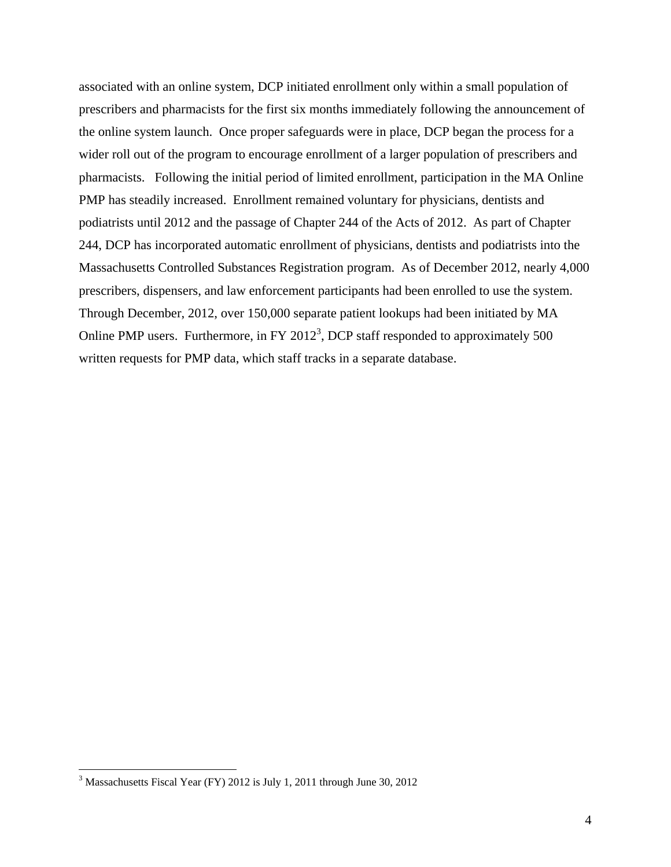associated with an online system, DCP initiated enrollment only within a small population of prescribers and pharmacists for the first six months immediately following the announcement of the online system launch. Once proper safeguards were in place, DCP began the process for a wider roll out of the program to encourage enrollment of a larger population of prescribers and pharmacists. Following the initial period of limited enrollment, participation in the MA Online PMP has steadily increased. Enrollment remained voluntary for physicians, dentists and podiatrists until 2012 and the passage of Chapter 244 of the Acts of 2012. As part of Chapter 244, DCP has incorporated automatic enrollment of physicians, dentists and podiatrists into the Massachusetts Controlled Substances Registration program. As of December 2012, nearly 4,000 prescribers, dispensers, and law enforcement participants had been enrolled to use the system. Through December, 2012, over 150,000 separate patient lookups had been initiated by MA Online PMP users. Furthermore, in FY 2012<sup>3</sup>, DCP staff responded to approximately 500 written requests for PMP data, which staff tracks in a separate database.

 $\overline{a}$ 

<sup>&</sup>lt;sup>3</sup> Massachusetts Fiscal Year (FY) 2012 is July 1, 2011 through June 30, 2012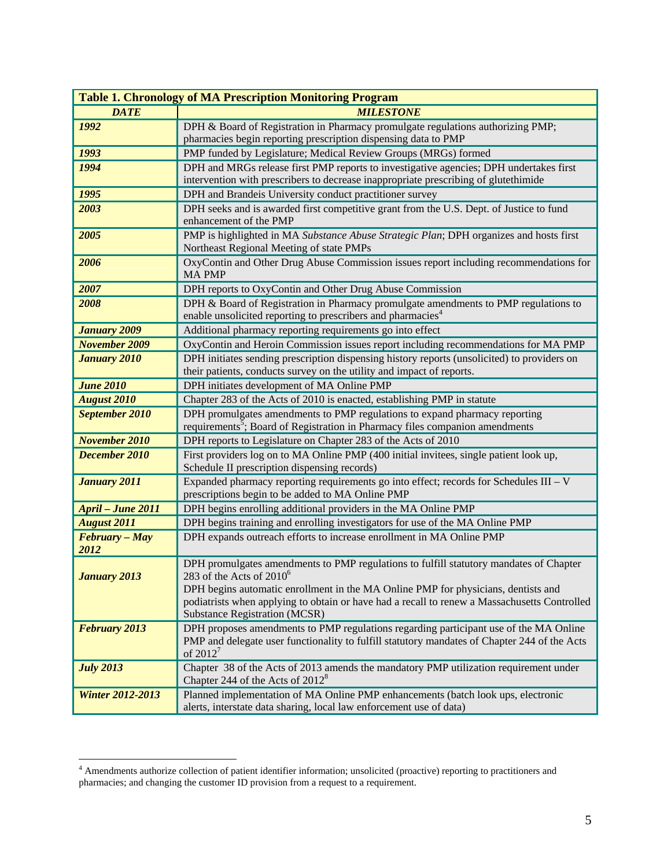| <b>Table 1. Chronology of MA Prescription Monitoring Program</b> |                                                                                                                                                                |  |  |  |  |  |
|------------------------------------------------------------------|----------------------------------------------------------------------------------------------------------------------------------------------------------------|--|--|--|--|--|
| <b>DATE</b>                                                      | <b>MILESTONE</b>                                                                                                                                               |  |  |  |  |  |
| 1992                                                             | DPH & Board of Registration in Pharmacy promulgate regulations authorizing PMP;                                                                                |  |  |  |  |  |
|                                                                  | pharmacies begin reporting prescription dispensing data to PMP                                                                                                 |  |  |  |  |  |
| 1993                                                             | PMP funded by Legislature; Medical Review Groups (MRGs) formed                                                                                                 |  |  |  |  |  |
| 1994                                                             | DPH and MRGs release first PMP reports to investigative agencies; DPH undertakes first                                                                         |  |  |  |  |  |
|                                                                  | intervention with prescribers to decrease inappropriate prescribing of glutethimide                                                                            |  |  |  |  |  |
| 1995                                                             | DPH and Brandeis University conduct practitioner survey                                                                                                        |  |  |  |  |  |
| 2003                                                             | DPH seeks and is awarded first competitive grant from the U.S. Dept. of Justice to fund<br>enhancement of the PMP                                              |  |  |  |  |  |
| 2005                                                             | PMP is highlighted in MA Substance Abuse Strategic Plan; DPH organizes and hosts first                                                                         |  |  |  |  |  |
|                                                                  | Northeast Regional Meeting of state PMPs                                                                                                                       |  |  |  |  |  |
| 2006                                                             | OxyContin and Other Drug Abuse Commission issues report including recommendations for                                                                          |  |  |  |  |  |
|                                                                  | <b>MA PMP</b>                                                                                                                                                  |  |  |  |  |  |
| 2007                                                             | DPH reports to OxyContin and Other Drug Abuse Commission                                                                                                       |  |  |  |  |  |
| 2008                                                             | DPH & Board of Registration in Pharmacy promulgate amendments to PMP regulations to<br>enable unsolicited reporting to prescribers and pharmacies <sup>4</sup> |  |  |  |  |  |
| <b>January 2009</b>                                              | Additional pharmacy reporting requirements go into effect                                                                                                      |  |  |  |  |  |
| <b>November 2009</b>                                             | OxyContin and Heroin Commission issues report including recommendations for MA PMP                                                                             |  |  |  |  |  |
| <b>January 2010</b>                                              | DPH initiates sending prescription dispensing history reports (unsolicited) to providers on                                                                    |  |  |  |  |  |
|                                                                  | their patients, conducts survey on the utility and impact of reports.                                                                                          |  |  |  |  |  |
| <b>June 2010</b>                                                 | DPH initiates development of MA Online PMP                                                                                                                     |  |  |  |  |  |
| <b>August 2010</b>                                               | Chapter 283 of the Acts of 2010 is enacted, establishing PMP in statute                                                                                        |  |  |  |  |  |
| September 2010                                                   | DPH promulgates amendments to PMP regulations to expand pharmacy reporting                                                                                     |  |  |  |  |  |
|                                                                  | requirements <sup>5</sup> ; Board of Registration in Pharmacy files companion amendments                                                                       |  |  |  |  |  |
| <b>November 2010</b>                                             | DPH reports to Legislature on Chapter 283 of the Acts of 2010                                                                                                  |  |  |  |  |  |
| December 2010                                                    | First providers log on to MA Online PMP (400 initial invitees, single patient look up,                                                                         |  |  |  |  |  |
|                                                                  | Schedule II prescription dispensing records)                                                                                                                   |  |  |  |  |  |
| <b>January 2011</b>                                              | Expanded pharmacy reporting requirements go into effect; records for Schedules III - V                                                                         |  |  |  |  |  |
|                                                                  | prescriptions begin to be added to MA Online PMP                                                                                                               |  |  |  |  |  |
| <b>April - June 2011</b>                                         | DPH begins enrolling additional providers in the MA Online PMP                                                                                                 |  |  |  |  |  |
| <b>August 2011</b>                                               | DPH begins training and enrolling investigators for use of the MA Online PMP                                                                                   |  |  |  |  |  |
| February - May<br>2012                                           | DPH expands outreach efforts to increase enrollment in MA Online PMP                                                                                           |  |  |  |  |  |
|                                                                  | DPH promulgates amendments to PMP regulations to fulfill statutory mandates of Chapter                                                                         |  |  |  |  |  |
| <b>January 2013</b>                                              | 283 of the Acts of $2010^6$                                                                                                                                    |  |  |  |  |  |
|                                                                  | DPH begins automatic enrollment in the MA Online PMP for physicians, dentists and                                                                              |  |  |  |  |  |
|                                                                  | podiatrists when applying to obtain or have had a recall to renew a Massachusetts Controlled                                                                   |  |  |  |  |  |
|                                                                  | <b>Substance Registration (MCSR)</b>                                                                                                                           |  |  |  |  |  |
| <b>February 2013</b>                                             | DPH proposes amendments to PMP regulations regarding participant use of the MA Online                                                                          |  |  |  |  |  |
|                                                                  | PMP and delegate user functionality to fulfill statutory mandates of Chapter 244 of the Acts<br>of $2012^7$                                                    |  |  |  |  |  |
|                                                                  | Chapter 38 of the Acts of 2013 amends the mandatory PMP utilization requirement under                                                                          |  |  |  |  |  |
| <b>July 2013</b>                                                 | Chapter 244 of the Acts of 2012 <sup>8</sup>                                                                                                                   |  |  |  |  |  |
| <b>Winter 2012-2013</b>                                          | Planned implementation of MA Online PMP enhancements (batch look ups, electronic                                                                               |  |  |  |  |  |
|                                                                  | alerts, interstate data sharing, local law enforcement use of data)                                                                                            |  |  |  |  |  |

 4 Amendments authorize collection of patient identifier information; unsolicited (proactive) reporting to practitioners and pharmacies; and changing the customer ID provision from a request to a requirement.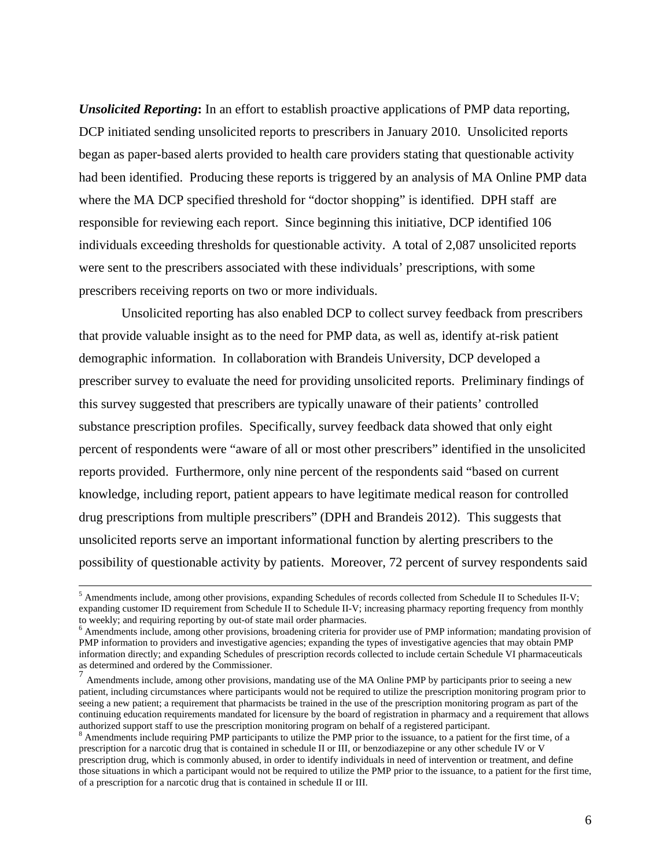*Unsolicited Reporting***:** In an effort to establish proactive applications of PMP data reporting, DCP initiated sending unsolicited reports to prescribers in January 2010. Unsolicited reports began as paper-based alerts provided to health care providers stating that questionable activity had been identified. Producing these reports is triggered by an analysis of MA Online PMP data where the MA DCP specified threshold for "doctor shopping" is identified. DPH staff are responsible for reviewing each report. Since beginning this initiative, DCP identified 106 individuals exceeding thresholds for questionable activity. A total of 2,087 unsolicited reports were sent to the prescribers associated with these individuals' prescriptions, with some prescribers receiving reports on two or more individuals.

 Unsolicited reporting has also enabled DCP to collect survey feedback from prescribers that provide valuable insight as to the need for PMP data, as well as, identify at-risk patient demographic information. In collaboration with Brandeis University, DCP developed a prescriber survey to evaluate the need for providing unsolicited reports. Preliminary findings of this survey suggested that prescribers are typically unaware of their patients' controlled substance prescription profiles. Specifically, survey feedback data showed that only eight percent of respondents were "aware of all or most other prescribers" identified in the unsolicited reports provided. Furthermore, only nine percent of the respondents said "based on current knowledge, including report, patient appears to have legitimate medical reason for controlled drug prescriptions from multiple prescribers" (DPH and Brandeis 2012). This suggests that unsolicited reports serve an important informational function by alerting prescribers to the possibility of questionable activity by patients. Moreover, 72 percent of survey respondents said

 $\frac{1}{5}$ <sup>5</sup> Amendments include, among other provisions, expanding Schedules of records collected from Schedule II to Schedules II-V; expanding customer ID requirement from Schedule II to Schedule II-V; increasing pharmacy reporting frequency from monthly to weekly; and requiring reporting by out-of state mail order pharmacies.

<sup>&</sup>lt;sup>6</sup> Amendments include, among other provisions, broadening criteria for provider use of PMP information; mandating provision of PMP information to providers and investigative agencies; expanding the types of investigative agencies that may obtain PMP information directly; and expanding Schedules of prescription records collected to include certain Schedule VI pharmaceuticals as determined and ordered by the Commissioner.

 $<sup>7</sup>$  Amendments include, among other provisions, mandating use of the MA Online PMP by participants prior to seeing a new</sup> patient, including circumstances where participants would not be required to utilize the prescription monitoring program prior to seeing a new patient; a requirement that pharmacists be trained in the use of the prescription monitoring program as part of the continuing education requirements mandated for licensure by the board of registration in pharmacy and a requirement that allows authorized support staff to use the prescription monitoring program on behalf of a registered participant. 8

 $\beta$  Amendments include requiring PMP participants to utilize the PMP prior to the issuance, to a patient for the first time, of a prescription for a narcotic drug that is contained in schedule II or III, or benzodiazepine or any other schedule IV or V prescription drug, which is commonly abused, in order to identify individuals in need of intervention or treatment, and define those situations in which a participant would not be required to utilize the PMP prior to the issuance, to a patient for the first time, of a prescription for a narcotic drug that is contained in schedule II or III.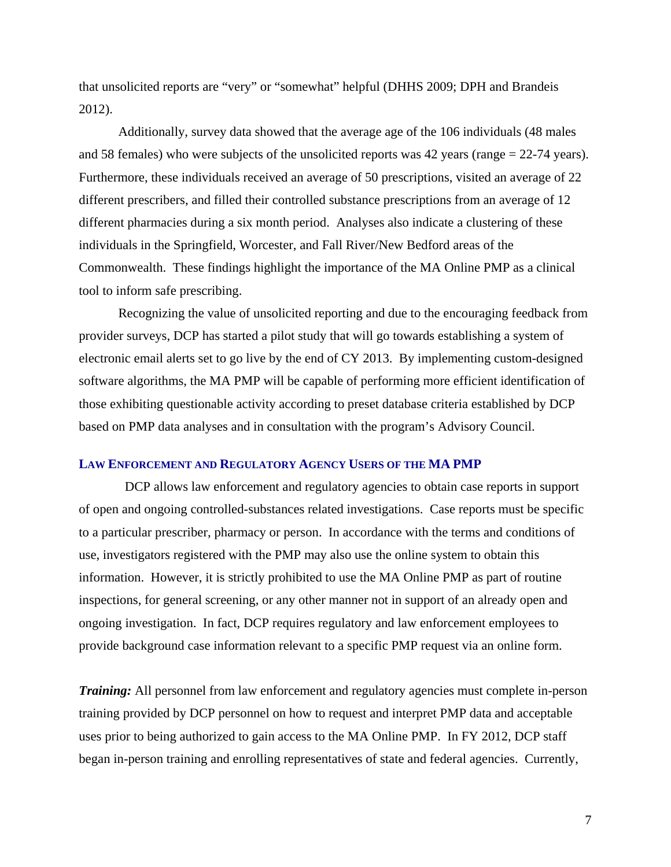that unsolicited reports are "very" or "somewhat" helpful (DHHS 2009; DPH and Brandeis 2012).

 Additionally, survey data showed that the average age of the 106 individuals (48 males and 58 females) who were subjects of the unsolicited reports was 42 years (range = 22-74 years). Furthermore, these individuals received an average of 50 prescriptions, visited an average of 22 different prescribers, and filled their controlled substance prescriptions from an average of 12 different pharmacies during a six month period. Analyses also indicate a clustering of these individuals in the Springfield, Worcester, and Fall River/New Bedford areas of the Commonwealth. These findings highlight the importance of the MA Online PMP as a clinical tool to inform safe prescribing.

 Recognizing the value of unsolicited reporting and due to the encouraging feedback from provider surveys, DCP has started a pilot study that will go towards establishing a system of electronic email alerts set to go live by the end of CY 2013. By implementing custom-designed software algorithms, the MA PMP will be capable of performing more efficient identification of those exhibiting questionable activity according to preset database criteria established by DCP based on PMP data analyses and in consultation with the program's Advisory Council.

## **LAW ENFORCEMENT AND REGULATORY AGENCY USERS OF THE MA PMP**

 DCP allows law enforcement and regulatory agencies to obtain case reports in support of open and ongoing controlled-substances related investigations. Case reports must be specific to a particular prescriber, pharmacy or person. In accordance with the terms and conditions of use, investigators registered with the PMP may also use the online system to obtain this information. However, it is strictly prohibited to use the MA Online PMP as part of routine inspections, for general screening, or any other manner not in support of an already open and ongoing investigation. In fact, DCP requires regulatory and law enforcement employees to provide background case information relevant to a specific PMP request via an online form.

*Training:* All personnel from law enforcement and regulatory agencies must complete in-person training provided by DCP personnel on how to request and interpret PMP data and acceptable uses prior to being authorized to gain access to the MA Online PMP. In FY 2012, DCP staff began in-person training and enrolling representatives of state and federal agencies. Currently,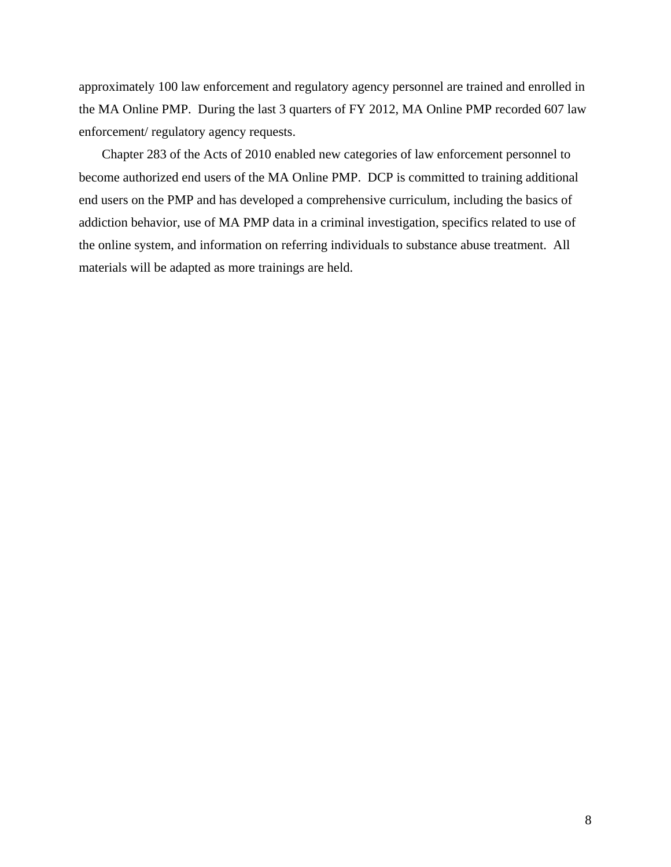approximately 100 law enforcement and regulatory agency personnel are trained and enrolled in the MA Online PMP. During the last 3 quarters of FY 2012, MA Online PMP recorded 607 law enforcement/ regulatory agency requests.

 Chapter 283 of the Acts of 2010 enabled new categories of law enforcement personnel to become authorized end users of the MA Online PMP. DCP is committed to training additional end users on the PMP and has developed a comprehensive curriculum, including the basics of addiction behavior, use of MA PMP data in a criminal investigation, specifics related to use of the online system, and information on referring individuals to substance abuse treatment. All materials will be adapted as more trainings are held.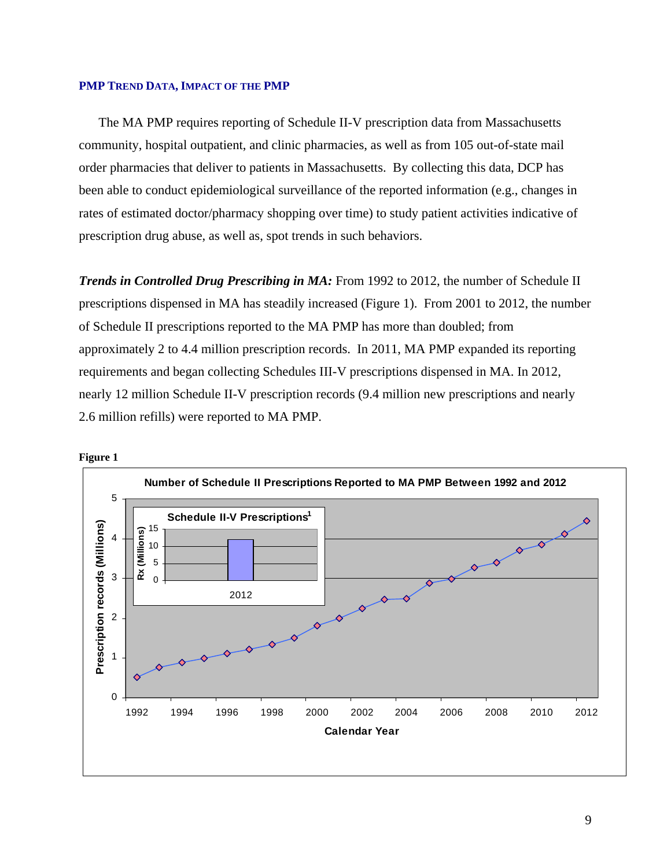#### **PMP TREND DATA, IMPACT OF THE PMP**

 The MA PMP requires reporting of Schedule II-V prescription data from Massachusetts community, hospital outpatient, and clinic pharmacies, as well as from 105 out-of-state mail order pharmacies that deliver to patients in Massachusetts. By collecting this data, DCP has been able to conduct epidemiological surveillance of the reported information (e.g., changes in rates of estimated doctor/pharmacy shopping over time) to study patient activities indicative of prescription drug abuse, as well as, spot trends in such behaviors.

*Trends in Controlled Drug Prescribing in MA: From 1992 to 2012, the number of Schedule II* prescriptions dispensed in MA has steadily increased (Figure 1). From 2001 to 2012, the number of Schedule II prescriptions reported to the MA PMP has more than doubled; from approximately 2 to 4.4 million prescription records. In 2011, MA PMP expanded its reporting requirements and began collecting Schedules III-V prescriptions dispensed in MA. In 2012, nearly 12 million Schedule II-V prescription records (9.4 million new prescriptions and nearly 2.6 million refills) were reported to MA PMP.



9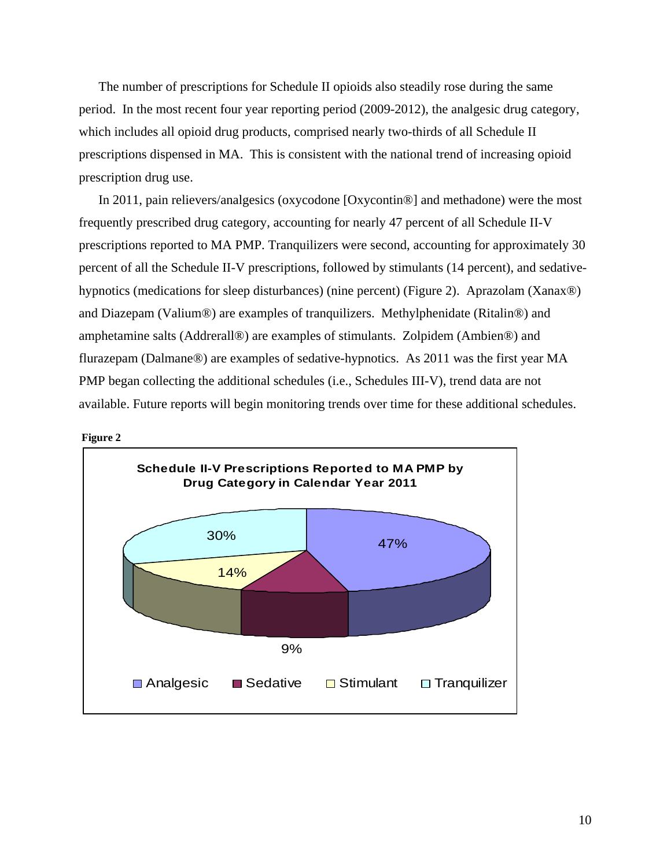The number of prescriptions for Schedule II opioids also steadily rose during the same period. In the most recent four year reporting period (2009-2012), the analgesic drug category, which includes all opioid drug products, comprised nearly two-thirds of all Schedule II prescriptions dispensed in MA. This is consistent with the national trend of increasing opioid prescription drug use.

 In 2011, pain relievers/analgesics (oxycodone [Oxycontin®] and methadone) were the most frequently prescribed drug category, accounting for nearly 47 percent of all Schedule II-V prescriptions reported to MA PMP. Tranquilizers were second, accounting for approximately 30 percent of all the Schedule II-V prescriptions, followed by stimulants (14 percent), and sedativehypnotics (medications for sleep disturbances) (nine percent) (Figure 2). Aprazolam (Xanax®) and Diazepam (Valium®) are examples of tranquilizers. Methylphenidate (Ritalin®) and amphetamine salts (Addrerall®) are examples of stimulants. Zolpidem (Ambien®) and flurazepam (Dalmane®) are examples of sedative-hypnotics. As 2011 was the first year MA PMP began collecting the additional schedules (i.e., Schedules III-V), trend data are not available. Future reports will begin monitoring trends over time for these additional schedules.



 **Figure 2**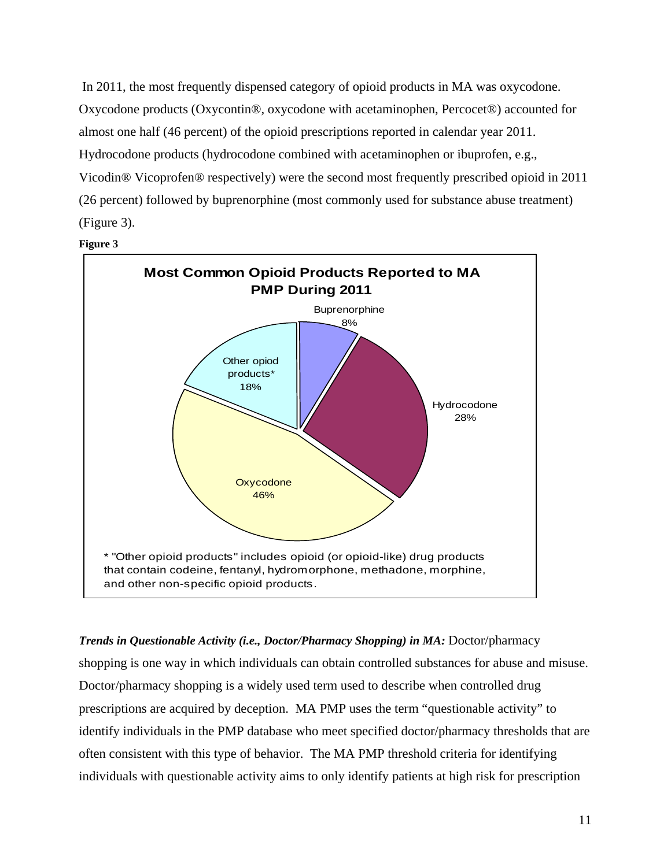In 2011, the most frequently dispensed category of opioid products in MA was oxycodone. Oxycodone products (Oxycontin®, oxycodone with acetaminophen, Percocet®) accounted for almost one half (46 percent) of the opioid prescriptions reported in calendar year 2011. Hydrocodone products (hydrocodone combined with acetaminophen or ibuprofen, e.g., Vicodin® Vicoprofen® respectively) were the second most frequently prescribed opioid in 2011 (26 percent) followed by buprenorphine (most commonly used for substance abuse treatment) (Figure 3).





*Trends in Questionable Activity (i.e., Doctor/Pharmacy Shopping) in MA: Doctor/pharmacy* shopping is one way in which individuals can obtain controlled substances for abuse and misuse. Doctor/pharmacy shopping is a widely used term used to describe when controlled drug prescriptions are acquired by deception. MA PMP uses the term "questionable activity" to identify individuals in the PMP database who meet specified doctor/pharmacy thresholds that are often consistent with this type of behavior. The MA PMP threshold criteria for identifying individuals with questionable activity aims to only identify patients at high risk for prescription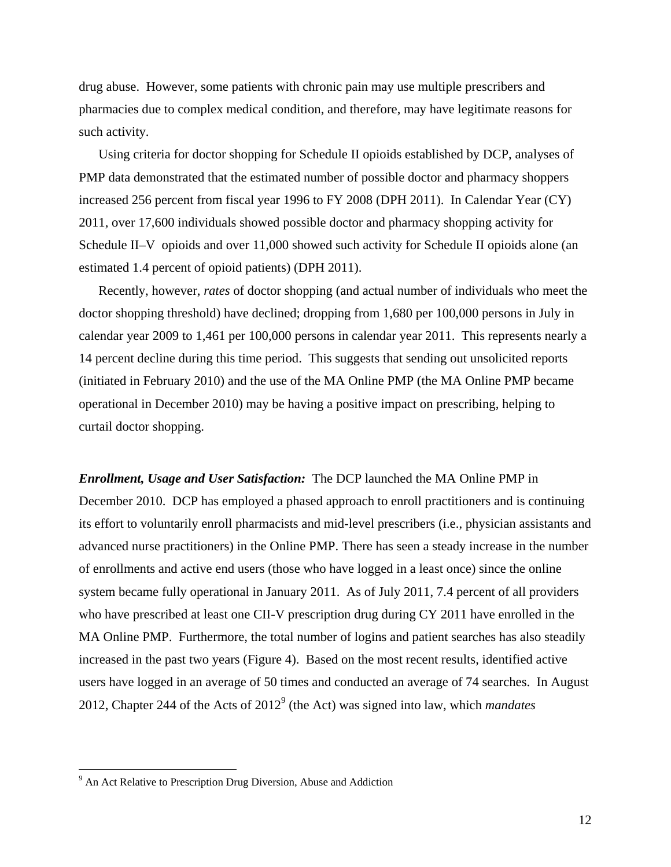drug abuse. However, some patients with chronic pain may use multiple prescribers and pharmacies due to complex medical condition, and therefore, may have legitimate reasons for such activity.

 Using criteria for doctor shopping for Schedule II opioids established by DCP, analyses of PMP data demonstrated that the estimated number of possible doctor and pharmacy shoppers increased 256 percent from fiscal year 1996 to FY 2008 (DPH 2011). In Calendar Year (CY) 2011, over 17,600 individuals showed possible doctor and pharmacy shopping activity for Schedule II–V opioids and over 11,000 showed such activity for Schedule II opioids alone (an estimated 1.4 percent of opioid patients) (DPH 2011).

 Recently, however, *rates* of doctor shopping (and actual number of individuals who meet the doctor shopping threshold) have declined; dropping from 1,680 per 100,000 persons in July in calendar year 2009 to 1,461 per 100,000 persons in calendar year 2011. This represents nearly a 14 percent decline during this time period. This suggests that sending out unsolicited reports (initiated in February 2010) and the use of the MA Online PMP (the MA Online PMP became operational in December 2010) may be having a positive impact on prescribing, helping to curtail doctor shopping.

*Enrollment, Usage and User Satisfaction:* The DCP launched the MA Online PMP in December 2010. DCP has employed a phased approach to enroll practitioners and is continuing its effort to voluntarily enroll pharmacists and mid-level prescribers (i.e., physician assistants and advanced nurse practitioners) in the Online PMP. There has seen a steady increase in the number of enrollments and active end users (those who have logged in a least once) since the online system became fully operational in January 2011. As of July 2011, 7.4 percent of all providers who have prescribed at least one CII-V prescription drug during CY 2011 have enrolled in the MA Online PMP. Furthermore, the total number of logins and patient searches has also steadily increased in the past two years (Figure 4). Based on the most recent results, identified active users have logged in an average of 50 times and conducted an average of 74 searches. In August 2012, Chapter 244 of the Acts of 2012<sup>9</sup> (the Act) was signed into law, which *mandates* 

 $\overline{a}$ 

 $9<sup>9</sup>$  An Act Relative to Prescription Drug Diversion, Abuse and Addiction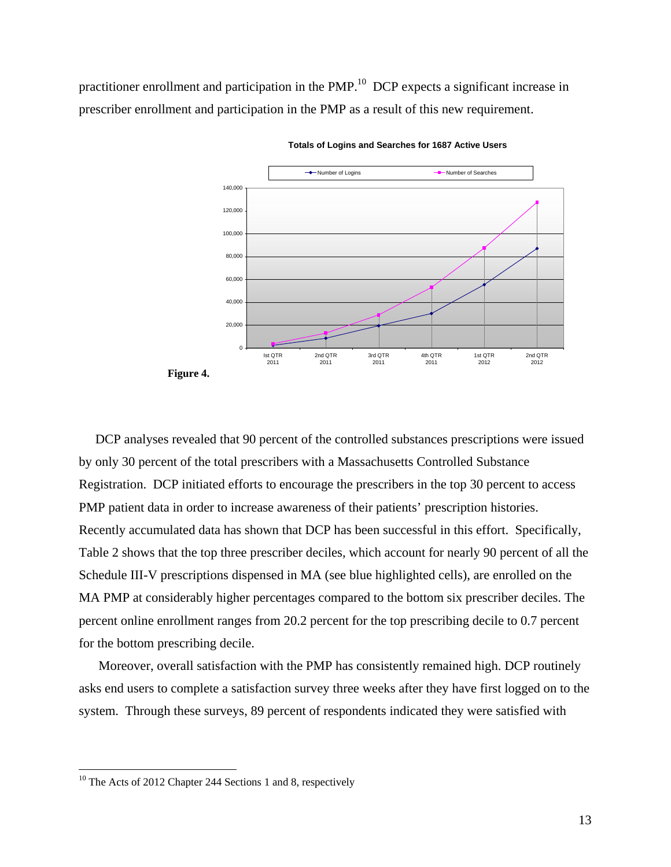practitioner enrollment and participation in the PMP.<sup>10</sup> DCP expects a significant increase in prescriber enrollment and participation in the PMP as a result of this new requirement.



**Totals of Logins and Searches for 1687 Active Users**

 DCP analyses revealed that 90 percent of the controlled substances prescriptions were issued by only 30 percent of the total prescribers with a Massachusetts Controlled Substance Registration. DCP initiated efforts to encourage the prescribers in the top 30 percent to access PMP patient data in order to increase awareness of their patients' prescription histories. Recently accumulated data has shown that DCP has been successful in this effort. Specifically, Table 2 shows that the top three prescriber deciles, which account for nearly 90 percent of all the Schedule III-V prescriptions dispensed in MA (see blue highlighted cells), are enrolled on the MA PMP at considerably higher percentages compared to the bottom six prescriber deciles. The percent online enrollment ranges from 20.2 percent for the top prescribing decile to 0.7 percent for the bottom prescribing decile.

 Moreover, overall satisfaction with the PMP has consistently remained high. DCP routinely asks end users to complete a satisfaction survey three weeks after they have first logged on to the system. Through these surveys, 89 percent of respondents indicated they were satisfied with

<u>.</u>

**Figure 4.**

<sup>&</sup>lt;sup>10</sup> The Acts of 2012 Chapter 244 Sections 1 and 8, respectively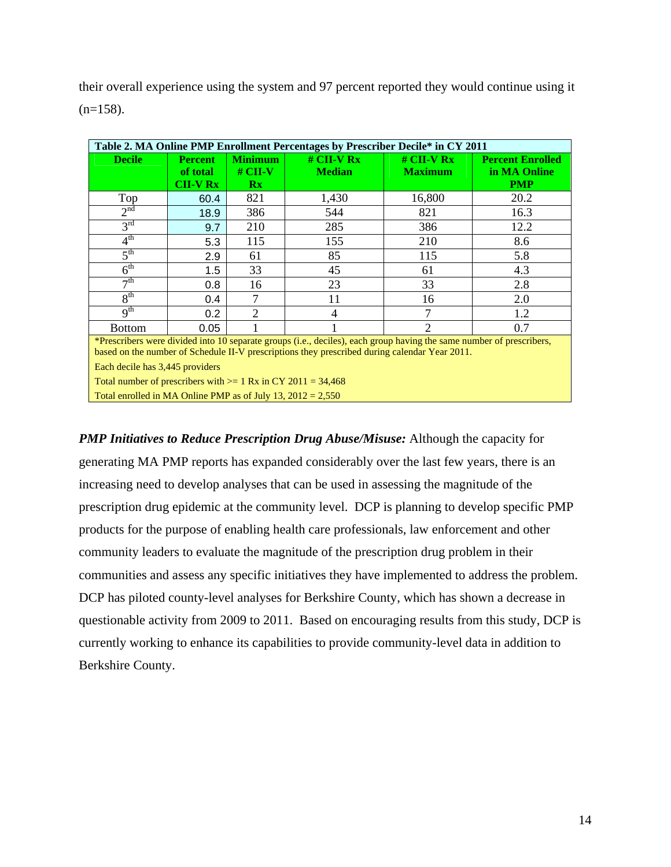their overall experience using the system and 97 percent reported they would continue using it  $(n=158)$ .

| Table 2. MA Online PMP Enrollment Percentages by Prescriber Decile* in CY 2011                                                                                                                                                                           |                                         |                                                      |                               |                                |                                                       |  |
|----------------------------------------------------------------------------------------------------------------------------------------------------------------------------------------------------------------------------------------------------------|-----------------------------------------|------------------------------------------------------|-------------------------------|--------------------------------|-------------------------------------------------------|--|
| <b>Decile</b>                                                                                                                                                                                                                                            | <b>Percent</b><br>of total<br>$CH-V Rx$ | <b>Minimum</b><br>$#$ CII-V<br>$\mathbf{R}$ <b>x</b> | $#$ CII-V Rx<br><b>Median</b> | $#$ CII-V Rx<br><b>Maximum</b> | <b>Percent Enrolled</b><br>in MA Online<br><b>PMP</b> |  |
| Top                                                                                                                                                                                                                                                      | 60.4                                    | 821                                                  | 1,430                         | 16,800                         | 20.2                                                  |  |
| 2 <sup>nd</sup>                                                                                                                                                                                                                                          | 18.9                                    | 386                                                  | 544                           | 821                            | 16.3                                                  |  |
| 3 <sup>rd</sup>                                                                                                                                                                                                                                          | 9.7                                     | 210                                                  | 285                           | 386                            | 12.2                                                  |  |
| 4 <sup>th</sup>                                                                                                                                                                                                                                          | 5.3                                     | 115                                                  | 155                           | 210                            | 8.6                                                   |  |
| 5 <sup>th</sup>                                                                                                                                                                                                                                          | 2.9                                     | 61                                                   | 85                            | 115                            | 5.8                                                   |  |
| 6 <sup>th</sup>                                                                                                                                                                                                                                          | 1.5                                     | 33                                                   | 45                            | 61                             | 4.3                                                   |  |
| $\neg$ th                                                                                                                                                                                                                                                | 0.8                                     | 16                                                   | 23                            | 33                             | 2.8                                                   |  |
| 8 <sup>th</sup>                                                                                                                                                                                                                                          | 0.4                                     |                                                      | 11                            | 16                             | 2.0                                                   |  |
| 9 <sup>th</sup>                                                                                                                                                                                                                                          | 0.2                                     | 2                                                    | 4                             | 7                              | 1.2                                                   |  |
| <b>Bottom</b>                                                                                                                                                                                                                                            | 0.05                                    |                                                      |                               | $\mathcal{D}_{\mathcal{L}}$    | 0.7                                                   |  |
| *Prescribers were divided into 10 separate groups (i.e., deciles), each group having the same number of prescribers,<br>based on the number of Schedule II-V prescriptions they prescribed during calendar Year 2011.<br>Each decile has 3,445 providers |                                         |                                                      |                               |                                |                                                       |  |

Total number of prescribers with  $>= 1$  Rx in CY 2011 = 34,468 Total enrolled in MA Online PMP as of July 13,  $2012 = 2,550$ 

*PMP Initiatives to Reduce Prescription Drug Abuse/Misuse:* Although the capacity for generating MA PMP reports has expanded considerably over the last few years, there is an increasing need to develop analyses that can be used in assessing the magnitude of the prescription drug epidemic at the community level. DCP is planning to develop specific PMP products for the purpose of enabling health care professionals, law enforcement and other community leaders to evaluate the magnitude of the prescription drug problem in their communities and assess any specific initiatives they have implemented to address the problem. DCP has piloted county-level analyses for Berkshire County, which has shown a decrease in questionable activity from 2009 to 2011. Based on encouraging results from this study, DCP is currently working to enhance its capabilities to provide community-level data in addition to Berkshire County.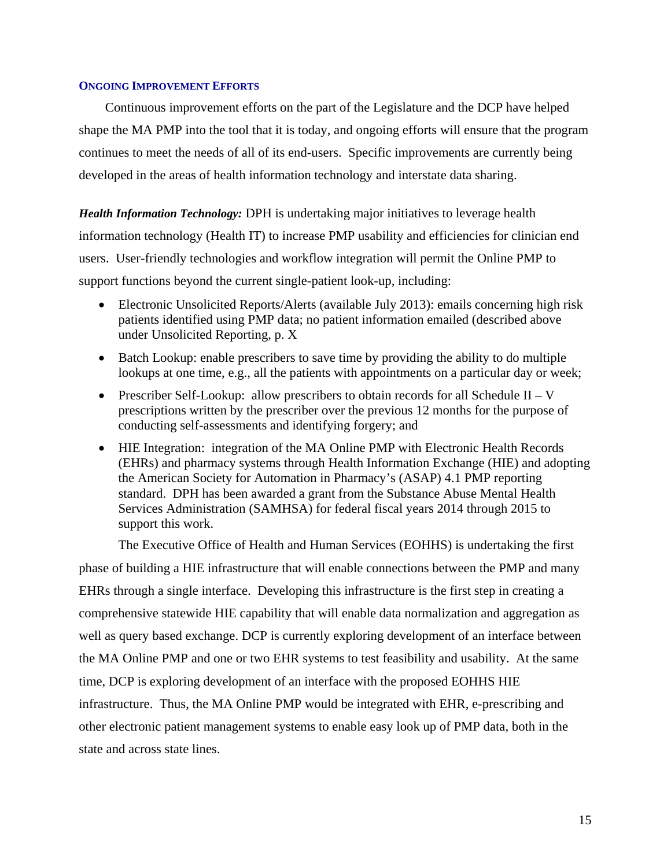## **ONGOING IMPROVEMENT EFFORTS**

Continuous improvement efforts on the part of the Legislature and the DCP have helped shape the MA PMP into the tool that it is today, and ongoing efforts will ensure that the program continues to meet the needs of all of its end-users. Specific improvements are currently being developed in the areas of health information technology and interstate data sharing.

*Health Information Technology:* DPH is undertaking major initiatives to leverage health information technology (Health IT) to increase PMP usability and efficiencies for clinician end users. User-friendly technologies and workflow integration will permit the Online PMP to support functions beyond the current single-patient look-up, including:

- Electronic Unsolicited Reports/Alerts (available July 2013): emails concerning high risk patients identified using PMP data; no patient information emailed (described above under Unsolicited Reporting, p. X
- Batch Lookup: enable prescribers to save time by providing the ability to do multiple lookups at one time, e.g., all the patients with appointments on a particular day or week;
- Prescriber Self-Lookup: allow prescribers to obtain records for all Schedule II V prescriptions written by the prescriber over the previous 12 months for the purpose of conducting self-assessments and identifying forgery; and
- HIE Integration: integration of the MA Online PMP with Electronic Health Records (EHRs) and pharmacy systems through Health Information Exchange (HIE) and adopting the American Society for Automation in Pharmacy's (ASAP) 4.1 PMP reporting standard. DPH has been awarded a grant from the Substance Abuse Mental Health Services Administration (SAMHSA) for federal fiscal years 2014 through 2015 to support this work.

The Executive Office of Health and Human Services (EOHHS) is undertaking the first

phase of building a HIE infrastructure that will enable connections between the PMP and many EHRs through a single interface. Developing this infrastructure is the first step in creating a comprehensive statewide HIE capability that will enable data normalization and aggregation as well as query based exchange. DCP is currently exploring development of an interface between the MA Online PMP and one or two EHR systems to test feasibility and usability. At the same time, DCP is exploring development of an interface with the proposed EOHHS HIE infrastructure. Thus, the MA Online PMP would be integrated with EHR, e-prescribing and other electronic patient management systems to enable easy look up of PMP data, both in the state and across state lines.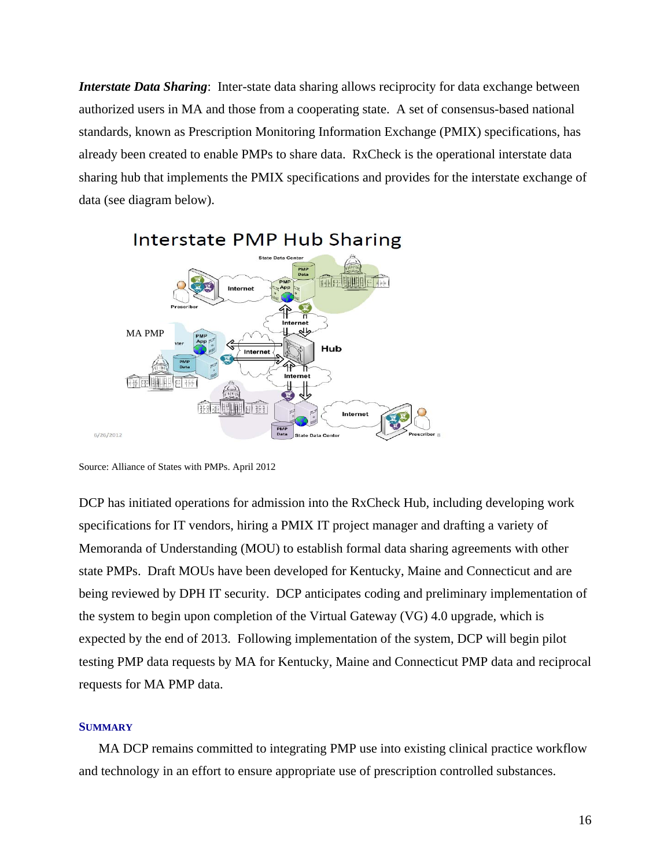*Interstate Data Sharing*: Inter-state data sharing allows reciprocity for data exchange between authorized users in MA and those from a cooperating state. A set of consensus-based national standards, known as Prescription Monitoring Information Exchange (PMIX) specifications, has already been created to enable PMPs to share data. RxCheck is the operational interstate data sharing hub that implements the PMIX specifications and provides for the interstate exchange of data (see diagram below).



# Interstate PMP Hub Sharing

DCP has initiated operations for admission into the RxCheck Hub, including developing work specifications for IT vendors, hiring a PMIX IT project manager and drafting a variety of Memoranda of Understanding (MOU) to establish formal data sharing agreements with other state PMPs. Draft MOUs have been developed for Kentucky, Maine and Connecticut and are being reviewed by DPH IT security. DCP anticipates coding and preliminary implementation of the system to begin upon completion of the Virtual Gateway (VG) 4.0 upgrade, which is expected by the end of 2013. Following implementation of the system, DCP will begin pilot testing PMP data requests by MA for Kentucky, Maine and Connecticut PMP data and reciprocal requests for MA PMP data.

#### **SUMMARY**

 MA DCP remains committed to integrating PMP use into existing clinical practice workflow and technology in an effort to ensure appropriate use of prescription controlled substances.

Source: Alliance of States with PMPs. April 2012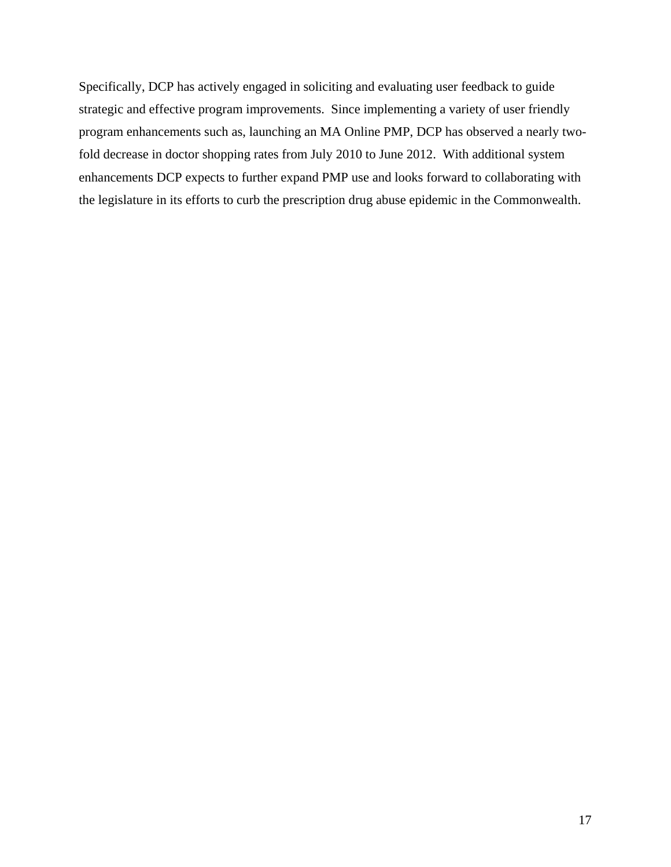Specifically, DCP has actively engaged in soliciting and evaluating user feedback to guide strategic and effective program improvements. Since implementing a variety of user friendly program enhancements such as, launching an MA Online PMP, DCP has observed a nearly twofold decrease in doctor shopping rates from July 2010 to June 2012. With additional system enhancements DCP expects to further expand PMP use and looks forward to collaborating with the legislature in its efforts to curb the prescription drug abuse epidemic in the Commonwealth.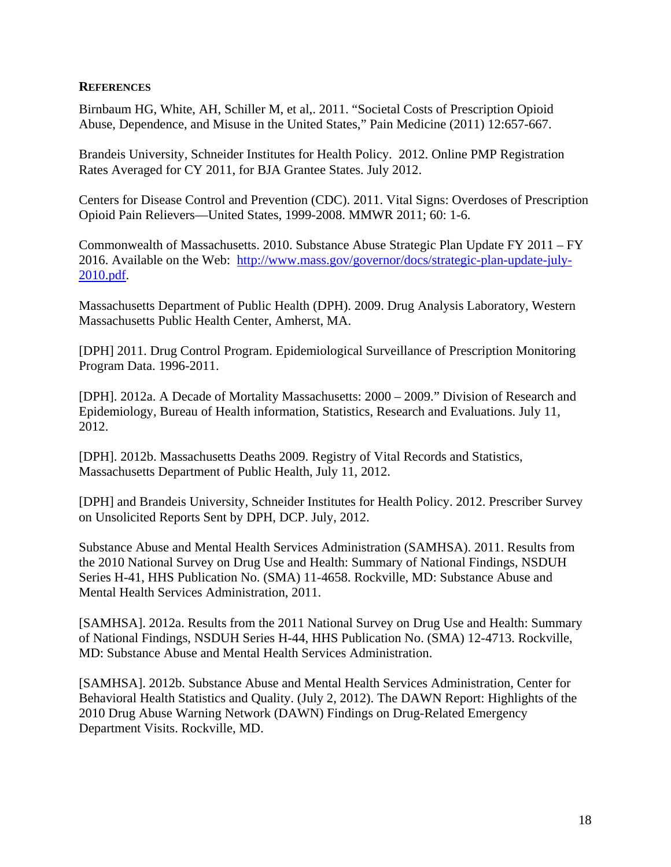## **REFERENCES**

Birnbaum HG, White, AH, Schiller M, et al,. 2011. "Societal Costs of Prescription Opioid Abuse, Dependence, and Misuse in the United States," Pain Medicine (2011) 12:657-667.

Brandeis University, Schneider Institutes for Health Policy. 2012. Online PMP Registration Rates Averaged for CY 2011, for BJA Grantee States. July 2012.

Centers for Disease Control and Prevention (CDC). 2011. Vital Signs: Overdoses of Prescription Opioid Pain Relievers—United States, 1999-2008. MMWR 2011; 60: 1-6.

Commonwealth of Massachusetts. 2010. Substance Abuse Strategic Plan Update FY 2011 – FY 2016. Available on the Web: http://www.mass.gov/governor/docs/strategic-plan-update-july-2010.pdf.

Massachusetts Department of Public Health (DPH). 2009. Drug Analysis Laboratory, Western Massachusetts Public Health Center, Amherst, MA.

[DPH] 2011. Drug Control Program. Epidemiological Surveillance of Prescription Monitoring Program Data. 1996-2011.

[DPH]. 2012a. A Decade of Mortality Massachusetts: 2000 – 2009." Division of Research and Epidemiology, Bureau of Health information, Statistics, Research and Evaluations. July 11, 2012.

[DPH]. 2012b. Massachusetts Deaths 2009. Registry of Vital Records and Statistics, Massachusetts Department of Public Health, July 11, 2012.

[DPH] and Brandeis University, Schneider Institutes for Health Policy. 2012. Prescriber Survey on Unsolicited Reports Sent by DPH, DCP. July, 2012.

Substance Abuse and Mental Health Services Administration (SAMHSA). 2011. Results from the 2010 National Survey on Drug Use and Health: Summary of National Findings, NSDUH Series H-41, HHS Publication No. (SMA) 11-4658. Rockville, MD: Substance Abuse and Mental Health Services Administration, 2011.

[SAMHSA]. 2012a. Results from the 2011 National Survey on Drug Use and Health: Summary of National Findings, NSDUH Series H-44, HHS Publication No. (SMA) 12-4713. Rockville, MD: Substance Abuse and Mental Health Services Administration.

[SAMHSA]. 2012b. Substance Abuse and Mental Health Services Administration, Center for Behavioral Health Statistics and Quality. (July 2, 2012). The DAWN Report: Highlights of the 2010 Drug Abuse Warning Network (DAWN) Findings on Drug-Related Emergency Department Visits. Rockville, MD.